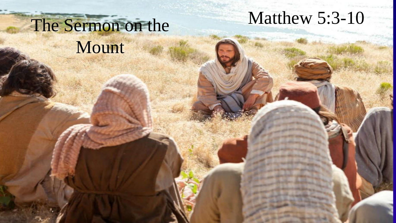# The Sermon on the Mount

## Matthew 5:3-10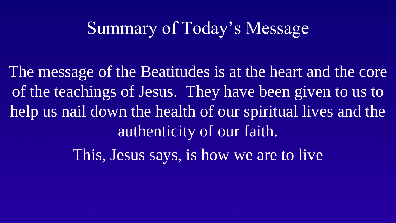## Summary of Today's Message

The message of the Beatitudes is at the heart and the core of the teachings of Jesus. They have been given to us to help us nail down the health of our spiritual lives and the authenticity of our faith.

This, Jesus says, is how we are to live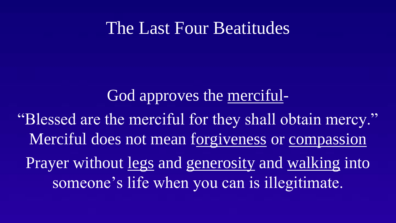### The Last Four Beatitudes

#### God approves the merciful-

"Blessed are the merciful for they shall obtain mercy." Merciful does not mean forgiveness or compassion Prayer without legs and generosity and walking into someone's life when you can is illegitimate.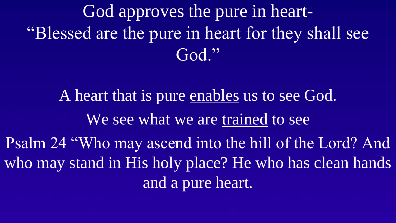God approves the pure in heart- "Blessed are the pure in heart for they shall see God."

A heart that is pure enables us to see God. We see what we are trained to see Psalm 24 "Who may ascend into the hill of the Lord? And who may stand in His holy place? He who has clean hands and a pure heart.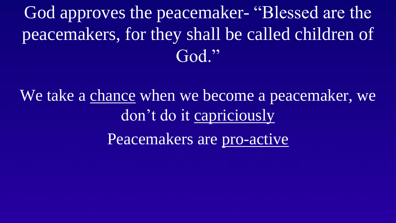God approves the peacemaker- "Blessed are the peacemakers, for they shall be called children of God."

We take a chance when we become a peacemaker, we don't do it capriciously Peacemakers are pro-active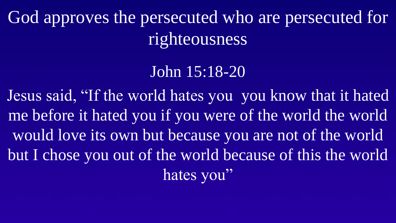God approves the persecuted who are persecuted for righteousness

John 15:18-20

Jesus said, "If the world hates you you know that it hated me before it hated you if you were of the world the world would love its own but because you are not of the world but I chose you out of the world because of this the world hates you"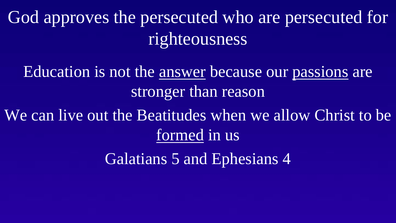God approves the persecuted who are persecuted for righteousness

Education is not the answer because our passions are stronger than reason

We can live out the Beatitudes when we allow Christ to be formed in us

Galatians 5 and Ephesians 4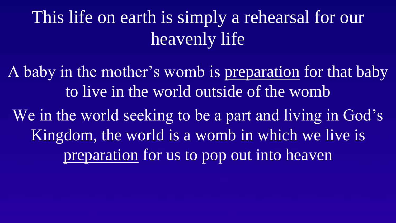This life on earth is simply a rehearsal for our heavenly life

A baby in the mother's womb is preparation for that baby to live in the world outside of the womb We in the world seeking to be a part and living in God's Kingdom, the world is a womb in which we live is preparation for us to pop out into heaven